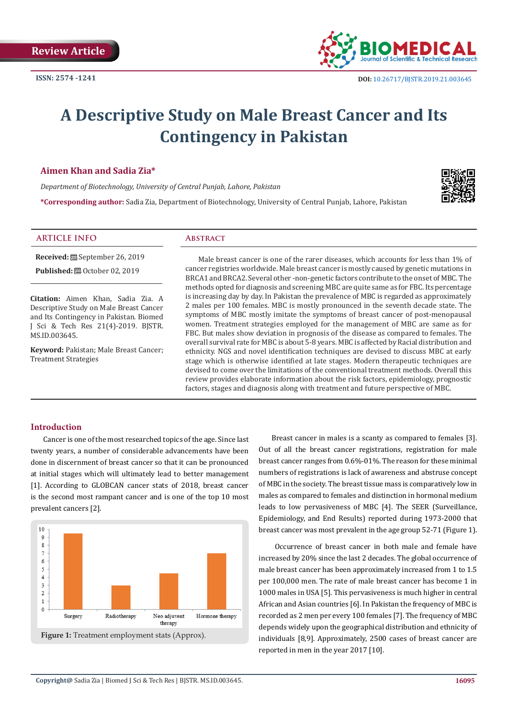

# **A Descriptive Study on Male Breast Cancer and Its Contingency in Pakistan**

# **Aimen Khan and Sadia Zia\***

*Department of Biotechnology, University of Central Punjab, Lahore, Pakistan*

**\*Corresponding author:** Sadia Zia, Department of Biotechnology, University of Central Punjab, Lahore, Pakistan



# **ARTICLE INFO Abstract**

**Received:** September 26, 2019

**Published:** ■ October 02, 2019

**Citation:** Aimen Khan, Sadia Zia. A Descriptive Study on Male Breast Cancer and Its Contingency in Pakistan. Biomed J Sci & Tech Res 21(4)-2019. BJSTR. MS.ID.003645.

**Keyword:** Pakistan; Male Breast Cancer; Treatment Strategies

Male breast cancer is one of the rarer diseases, which accounts for less than 1% of cancer registries worldwide. Male breast cancer is mostly caused by genetic mutations in BRCA1 and BRCA2. Several other -non-genetic factors contribute to the onset of MBC. The methods opted for diagnosis and screening MBC are quite same as for FBC. Its percentage is increasing day by day. In Pakistan the prevalence of MBC is regarded as approximately 2 males per 100 females. MBC is mostly pronounced in the seventh decade state. The symptoms of MBC mostly imitate the symptoms of breast cancer of post-menopausal women. Treatment strategies employed for the management of MBC are same as for FBC. But males show deviation in prognosis of the disease as compared to females. The overall survival rate for MBC is about 5-8 years. MBC is affected by Racial distribution and ethnicity. NGS and novel identification techniques are devised to discuss MBC at early stage which is otherwise identified at late stages. Modern therapeutic techniques are devised to come over the limitations of the conventional treatment methods. Overall this review provides elaborate information about the risk factors, epidemiology, prognostic factors, stages and diagnosis along with treatment and future perspective of MBC.

# **Introduction**

Cancer is one of the most researched topics of the age. Since last twenty years, a number of considerable advancements have been done in discernment of breast cancer so that it can be pronounced at initial stages which will ultimately lead to better management [1]. According to GLOBCAN cancer stats of 2018, breast cancer is the second most rampant cancer and is one of the top 10 most prevalent cancers [2].



Breast cancer in males is a scanty as compared to females [3]. Out of all the breast cancer registrations, registration for male breast cancer ranges from 0.6%-01%. The reason for these minimal numbers of registrations is lack of awareness and abstruse concept of MBC in the society. The breast tissue mass is comparatively low in males as compared to females and distinction in hormonal medium leads to low pervasiveness of MBC [4]. The SEER (Surveillance, Epidemiology, and End Results) reported during 1973-2000 that breast cancer was most prevalent in the age group 52-71 (Figure 1).

 Occurrence of breast cancer in both male and female have increased by 20% since the last 2 decades. The global occurrence of male breast cancer has been approximately increased from 1 to 1.5 per 100,000 men. The rate of male breast cancer has become 1 in 1000 males in USA [5]. This pervasiveness is much higher in central African and Asian countries [6]. In Pakistan the frequency of MBC is recorded as 2 men per every 100 females [7]. The frequency of MBC depends widely upon the geographical distribution and ethnicity of individuals [8,9]. Approximately, 2500 cases of breast cancer are reported in men in the year 2017 [10].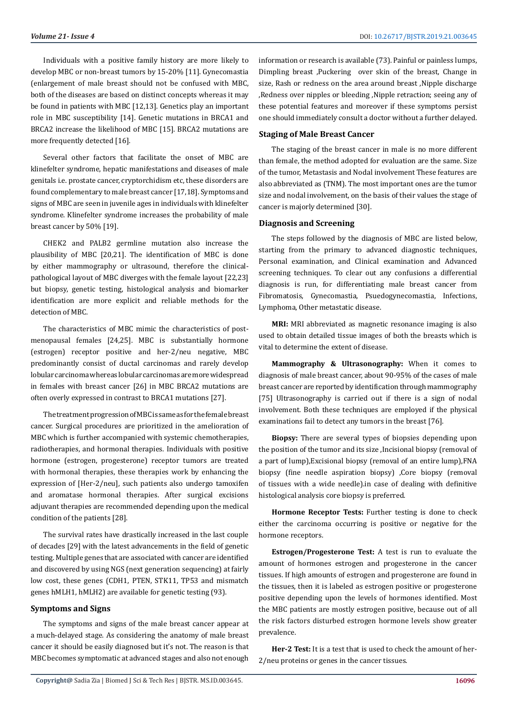Individuals with a positive family history are more likely to develop MBC or non-breast tumors by 15-20% [11]. Gynecomastia (enlargement of male breast should not be confused with MBC, both of the diseases are based on distinct concepts whereas it may be found in patients with MBC [12,13]. Genetics play an important role in MBC susceptibility [14]. Genetic mutations in BRCA1 and BRCA2 increase the likelihood of MBC [15]. BRCA2 mutations are more frequently detected [16].

Several other factors that facilitate the onset of MBC are klinefelter syndrome, hepatic manifestations and diseases of male genitals i.e. prostate cancer, cryptorchidism etc, these disorders are found complementary to male breast cancer [17,18]. Symptoms and signs of MBC are seen in juvenile ages in individuals with klinefelter syndrome. Klinefelter syndrome increases the probability of male breast cancer by 50% [19].

CHEK2 and PALB2 germline mutation also increase the plausibility of MBC [20,21]. The identification of MBC is done by either mammography or ultrasound, therefore the clinicalpathological layout of MBC diverges with the female layout [22,23] but biopsy, genetic testing, histological analysis and biomarker identification are more explicit and reliable methods for the detection of MBC.

The characteristics of MBC mimic the characteristics of postmenopausal females [24,25]. MBC is substantially hormone (estrogen) receptor positive and her-2/neu negative, MBC predominantly consist of ductal carcinomas and rarely develop lobular carcinoma whereas lobular carcinomas are more widespread in females with breast cancer [26] in MBC BRCA2 mutations are often overly expressed in contrast to BRCA1 mutations [27].

The treatment progression of MBC is same as for the female breast cancer. Surgical procedures are prioritized in the amelioration of MBC which is further accompanied with systemic chemotherapies, radiotherapies, and hormonal therapies. Individuals with positive hormone (estrogen, progesterone) receptor tumors are treated with hormonal therapies, these therapies work by enhancing the expression of [Her-2/neu], such patients also undergo tamoxifen and aromatase hormonal therapies. After surgical excisions adjuvant therapies are recommended depending upon the medical condition of the patients [28].

The survival rates have drastically increased in the last couple of decades [29] with the latest advancements in the field of genetic testing. Multiple genes that are associated with cancer are identified and discovered by using NGS (next generation sequencing) at fairly low cost, these genes (CDH1, PTEN, STK11, TP53 and mismatch genes hMLH1, hMLH2) are available for genetic testing (93).

### **Symptoms and Signs**

The symptoms and signs of the male breast cancer appear at a much-delayed stage. As considering the anatomy of male breast cancer it should be easily diagnosed but it's not. The reason is that MBC becomes symptomatic at advanced stages and also not enough

information or research is available (73). Painful or painless lumps, Dimpling breast ,Puckering over skin of the breast, Change in size, Rash or redness on the area around breast ,Nipple discharge ,Redness over nipples or bleeding ,Nipple retraction; seeing any of these potential features and moreover if these symptoms persist one should immediately consult a doctor without a further delayed.

#### **Staging of Male Breast Cancer**

The staging of the breast cancer in male is no more different than female, the method adopted for evaluation are the same. Size of the tumor, Metastasis and Nodal involvement These features are also abbreviated as (TNM). The most important ones are the tumor size and nodal involvement, on the basis of their values the stage of cancer is majorly determined [30].

#### **Diagnosis and Screening**

The steps followed by the diagnosis of MBC are listed below, starting from the primary to advanced diagnostic techniques, Personal examination, and Clinical examination and Advanced screening techniques. To clear out any confusions a differential diagnosis is run, for differentiating male breast cancer from Fibromatosis, Gynecomastia, Psuedogynecomastia, Infections, Lymphoma, Other metastatic disease.

**MRI:** MRI abbreviated as magnetic resonance imaging is also used to obtain detailed tissue images of both the breasts which is vital to determine the extent of disease.

**Mammography & Ultrasonography:** When it comes to diagnosis of male breast cancer, about 90-95% of the cases of male breast cancer are reported by identification through mammography [75] Ultrasonography is carried out if there is a sign of nodal involvement. Both these techniques are employed if the physical examinations fail to detect any tumors in the breast [76].

**Biopsy:** There are several types of biopsies depending upon the position of the tumor and its size ,Incisional biopsy (removal of a part of lump),Excisional biopsy (removal of an entire lump),FNA biopsy (fine needle aspiration biopsy) ,Core biopsy (removal of tissues with a wide needle).in case of dealing with definitive histological analysis core biopsy is preferred.

**Hormone Receptor Tests:** Further testing is done to check either the carcinoma occurring is positive or negative for the hormone receptors.

**Estrogen/Progesterone Test:** A test is run to evaluate the amount of hormones estrogen and progesterone in the cancer tissues. If high amounts of estrogen and progesterone are found in the tissues, then it is labeled as estrogen positive or progesterone positive depending upon the levels of hormones identified. Most the MBC patients are mostly estrogen positive, because out of all the risk factors disturbed estrogen hormone levels show greater prevalence.

**Her-2 Test:** It is a test that is used to check the amount of her-2/neu proteins or genes in the cancer tissues.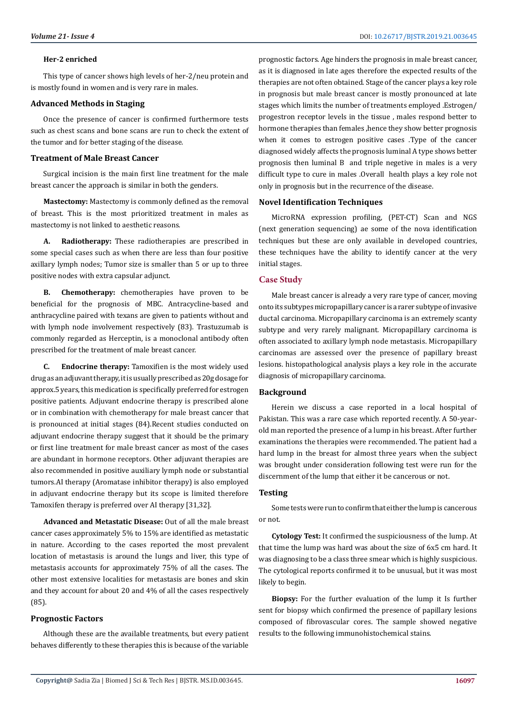#### **Her-2 enriched**

This type of cancer shows high levels of her-2/neu protein and is mostly found in women and is very rare in males.

#### **Advanced Methods in Staging**

Once the presence of cancer is confirmed furthermore tests such as chest scans and bone scans are run to check the extent of the tumor and for better staging of the disease.

# **Treatment of Male Breast Cancer**

Surgical incision is the main first line treatment for the male breast cancer the approach is similar in both the genders.

**Mastectomy:** Mastectomy is commonly defined as the removal of breast. This is the most prioritized treatment in males as mastectomy is not linked to aesthetic reasons.

**A. Radiotherapy:** These radiotherapies are prescribed in some special cases such as when there are less than four positive axillary lymph nodes; Tumor size is smaller than 5 or up to three positive nodes with extra capsular adjunct.

**B. Chemotherapy:** chemotherapies have proven to be beneficial for the prognosis of MBC. Antracycline-based and anthracycline paired with texans are given to patients without and with lymph node involvement respectively (83). Trastuzumab is commonly regarded as Herceptin, is a monoclonal antibody often prescribed for the treatment of male breast cancer.

**C. Endocrine therapy:** Tamoxifien is the most widely used drug as an adjuvant therapy, it is usually prescribed as 20g dosage for approx.5 years, this medication is specifically preferred for estrogen positive patients. Adjuvant endocrine therapy is prescribed alone or in combination with chemotherapy for male breast cancer that is pronounced at initial stages (84).Recent studies conducted on adjuvant endocrine therapy suggest that it should be the primary or first line treatment for male breast cancer as most of the cases are abundant in hormone receptors. Other adjuvant therapies are also recommended in positive auxiliary lymph node or substantial tumors.AI therapy (Aromatase inhibitor therapy) is also employed in adjuvant endocrine therapy but its scope is limited therefore Tamoxifen therapy is preferred over AI therapy [31,32].

**Advanced and Metastatic Disease:** Out of all the male breast cancer cases approximately 5% to 15% are identified as metastatic in nature. According to the cases reported the most prevalent location of metastasis is around the lungs and liver, this type of metastasis accounts for approximately 75% of all the cases. The other most extensive localities for metastasis are bones and skin and they account for about 20 and 4% of all the cases respectively (85).

#### **Prognostic Factors**

Although these are the available treatments, but every patient behaves differently to these therapies this is because of the variable

prognostic factors. Age hinders the prognosis in male breast cancer, as it is diagnosed in late ages therefore the expected results of the therapies are not often obtained. Stage of the cancer plays a key role in prognosis but male breast cancer is mostly pronounced at late stages which limits the number of treatments employed .Estrogen/ progestron receptor levels in the tissue , males respond better to hormone therapies than females ,hence they show better prognosis when it comes to estrogen positive cases .Type of the cancer diagnosed widely affects the prognosis luminal A type shows better prognosis then luminal B and triple negetive in males is a very difficult type to cure in males .Overall health plays a key role not only in prognosis but in the recurrence of the disease.

#### **Novel Identification Techniques**

MicroRNA expression profiling, (PET-CT) Scan and NGS (next generation sequencing) ae some of the nova identification techniques but these are only available in developed countries, these techniques have the ability to identify cancer at the very initial stages.

#### **Case Study**

Male breast cancer is already a very rare type of cancer, moving onto its subtypes micropapillary cancer is a rarer subtype of invasive ductal carcinoma. Micropapillary carcinoma is an extremely scanty subtype and very rarely malignant. Micropapillary carcinoma is often associated to axillary lymph node metastasis. Micropapillary carcinomas are assessed over the presence of papillary breast lesions. histopathological analysis plays a key role in the accurate diagnosis of micropapillary carcinoma.

#### **Background**

Herein we discuss a case reported in a local hospital of Pakistan. This was a rare case which reported recently. A 50-yearold man reported the presence of a lump in his breast. After further examinations the therapies were recommended. The patient had a hard lump in the breast for almost three years when the subject was brought under consideration following test were run for the discernment of the lump that either it be cancerous or not.

### **Testing**

Some tests were run to confirm that either the lump is cancerous or not.

**Cytology Test:** It confirmed the suspiciousness of the lump. At that time the lump was hard was about the size of 6x5 cm hard. It was diagnosing to be a class three smear which is highly suspicious. The cytological reports confirmed it to be unusual, but it was most likely to begin.

**Biopsy:** For the further evaluation of the lump it Is further sent for biopsy which confirmed the presence of papillary lesions composed of fibrovascular cores. The sample showed negative results to the following immunohistochemical stains.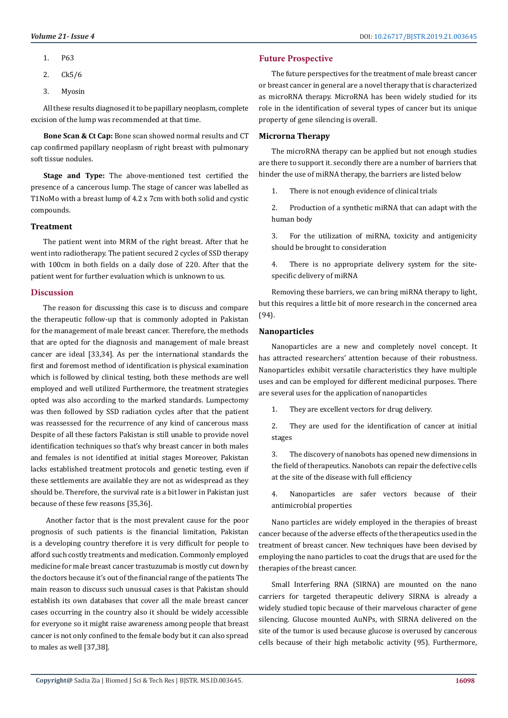- 1. P63
- 2. Ck5/6
- 3. Myosin

All these results diagnosed it to be papillary neoplasm, complete excision of the lump was recommended at that time.

**Bone Scan & Ct Cap:** Bone scan showed normal results and CT cap confirmed papillary neoplasm of right breast with pulmonary soft tissue nodules.

**Stage and Type:** The above-mentioned test certified the presence of a cancerous lump. The stage of cancer was labelled as T1NoMo with a breast lump of 4.2 x 7cm with both solid and cystic compounds.

#### **Treatment**

The patient went into MRM of the right breast. After that he went into radiotherapy. The patient secured 2 cycles of SSD therapy with 100cm in both fields on a daily dose of 220. After that the patient went for further evaluation which is unknown to us.

#### **Discussion**

The reason for discussing this case is to discuss and compare the therapeutic follow-up that is commonly adopted in Pakistan for the management of male breast cancer. Therefore, the methods that are opted for the diagnosis and management of male breast cancer are ideal [33,34]. As per the international standards the first and foremost method of identification is physical examination which is followed by clinical testing, both these methods are well employed and well utilized Furthermore, the treatment strategies opted was also according to the marked standards. Lumpectomy was then followed by SSD radiation cycles after that the patient was reassessed for the recurrence of any kind of cancerous mass Despite of all these factors Pakistan is still unable to provide novel identification techniques so that's why breast cancer in both males and females is not identified at initial stages Moreover, Pakistan lacks established treatment protocols and genetic testing, even if these settlements are available they are not as widespread as they should be. Therefore, the survival rate is a bit lower in Pakistan just because of these few reasons [35,36].

 Another factor that is the most prevalent cause for the poor prognosis of such patients is the financial limitation, Pakistan is a developing country therefore it is very difficult for people to afford such costly treatments and medication. Commonly employed medicine for male breast cancer trastuzumab is mostly cut down by the doctors because it's out of the financial range of the patients The main reason to discuss such unusual cases is that Pakistan should establish its own databases that cover all the male breast cancer cases occurring in the country also it should be widely accessible for everyone so it might raise awareness among people that breast cancer is not only confined to the female body but it can also spread to males as well [37,38].

# **Future Prospective**

The future perspectives for the treatment of male breast cancer or breast cancer in general are a novel therapy that is characterized as microRNA therapy. MicroRNA has been widely studied for its role in the identification of several types of cancer but its unique property of gene silencing is overall.

# **Microrna Therapy**

The microRNA therapy can be applied but not enough studies are there to support it. secondly there are a number of barriers that hinder the use of miRNA therapy, the barriers are listed below

1. There is not enough evidence of clinical trials

2. Production of a synthetic miRNA that can adapt with the human body

3. For the utilization of miRNA, toxicity and antigenicity should be brought to consideration

4. There is no appropriate delivery system for the sitespecific delivery of miRNA

Removing these barriers, we can bring miRNA therapy to light, but this requires a little bit of more research in the concerned area (94).

#### **Nanoparticles**

Nanoparticles are a new and completely novel concept. It has attracted researchers' attention because of their robustness. Nanoparticles exhibit versatile characteristics they have multiple uses and can be employed for different medicinal purposes. There are several uses for the application of nanoparticles

1. They are excellent vectors for drug delivery.

2. They are used for the identification of cancer at initial stages

3. The discovery of nanobots has opened new dimensions in the field of therapeutics. Nanobots can repair the defective cells at the site of the disease with full efficiency

4. Nanoparticles are safer vectors because of their antimicrobial properties

Nano particles are widely employed in the therapies of breast cancer because of the adverse effects of the therapeutics used in the treatment of breast cancer. New techniques have been devised by employing the nano particles to coat the drugs that are used for the therapies of the breast cancer.

Small Interfering RNA (SIRNA) are mounted on the nano carriers for targeted therapeutic delivery SIRNA is already a widely studied topic because of their marvelous character of gene silencing. Glucose mounted AuNPs, with SIRNA delivered on the site of the tumor is used because glucose is overused by cancerous cells because of their high metabolic activity (95). Furthermore,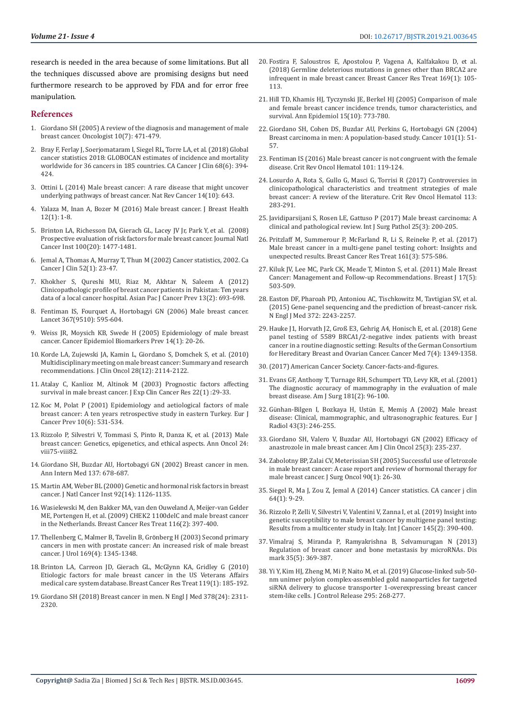research is needed in the area because of some limitations. But all the techniques discussed above are promising designs but need furthermore research to be approved by FDA and for error free manipulation.

#### **References**

- 1. [Giordano SH \(2005\) A review of the diagnosis and management of male](https://www.ncbi.nlm.nih.gov/pubmed/16079314)  [breast cancer. Oncologist 10\(7\): 471-479.](https://www.ncbi.nlm.nih.gov/pubmed/16079314)
- 2. [Bray F, Ferlay J, Soerjomataram I, Siegel RL, Torre LA, et al. \(2018\) Global](https://www.ncbi.nlm.nih.gov/pubmed/30207593)  [cancer statistics 2018: GLOBOCAN estimates of incidence and mortality](https://www.ncbi.nlm.nih.gov/pubmed/30207593)  [worldwide for 36 cancers in 185 countries. CA Cancer J Clin 68\(6\): 394-](https://www.ncbi.nlm.nih.gov/pubmed/30207593) [424.](https://www.ncbi.nlm.nih.gov/pubmed/30207593)
- 3. [Ottini L \(2014\) Male breast cancer: A rare disease that might uncover](https://www.ncbi.nlm.nih.gov/pubmed/25379579)  [underlying pathways of breast cancer. Nat Rev Cancer 14\(10\): 643.](https://www.ncbi.nlm.nih.gov/pubmed/25379579)
- 4. [Yalaza M, Inan A, Bozer M \(2016\) Male breast cancer. J Breast Health](https://www.ncbi.nlm.nih.gov/pmc/articles/PMC5351429/)  [12\(1\): 1-8.](https://www.ncbi.nlm.nih.gov/pmc/articles/PMC5351429/)
- 5. [Brinton LA, Richesson DA, Gierach GL, Lacey JV Jr, Park Y, et al. \(2008\)](https://www.ncbi.nlm.nih.gov/pubmed/18840816)  [Prospective evaluation of risk factors for male breast cancer. Journal Natl](https://www.ncbi.nlm.nih.gov/pubmed/18840816)  [Cancer Inst 100\(20\): 1477-1481.](https://www.ncbi.nlm.nih.gov/pubmed/18840816)
- 6. [Jemal A, Thomas A, Murray T, Thun M \(2002\) Cancer statistics, 2002. Ca](https://www.ncbi.nlm.nih.gov/pubmed/11814064)  [Cancer J Clin 52\(1\): 23-47.](https://www.ncbi.nlm.nih.gov/pubmed/11814064)
- 7. [Khokher S, Qureshi MU, Riaz M, Akhtar N, Saleem A \(2012\)](https://www.ncbi.nlm.nih.gov/pubmed/22524846)  [Clinicopathologic profile of breast cancer patients in Pakistan: Ten years](https://www.ncbi.nlm.nih.gov/pubmed/22524846)  [data of a local cancer hospital. Asian Pac J Cancer Prev 13\(2\): 693-698.](https://www.ncbi.nlm.nih.gov/pubmed/22524846)
- 8. [Fentiman IS, Fourquet A, Hortobagyi GN \(2006\) Male breast cancer.](https://www.ncbi.nlm.nih.gov/pubmed/16488803)  [Lancet 367\(9510\): 595-604.](https://www.ncbi.nlm.nih.gov/pubmed/16488803)
- 9. [Weiss JR, Moysich KB, Swede H \(2005\) Epidemiology of male breast](https://www.ncbi.nlm.nih.gov/pubmed/15668471)  [cancer. Cancer Epidemiol Biomarkers Prev 14\(1\): 20-26.](https://www.ncbi.nlm.nih.gov/pubmed/15668471)
- 10. [Korde LA, Zujewski JA, Kamin L, Giordano S, Domchek S, et al. \(2010\)](https://www.ncbi.nlm.nih.gov/pubmed/20308661)  [Multidisciplinary meeting on male breast cancer: Summary and research](https://www.ncbi.nlm.nih.gov/pubmed/20308661)  [recommendations. J Clin Oncol 28\(12\): 2114-2122.](https://www.ncbi.nlm.nih.gov/pubmed/20308661)
- 11. [Atalay C, Kanlioz M, Altinok M \(2003\) Prognostic factors affecting](https://www.ncbi.nlm.nih.gov/pubmed/12725319)  [survival in male breast cancer. J Exp Clin Cancer Res 22\(1\) :29-33.](https://www.ncbi.nlm.nih.gov/pubmed/12725319)
- 12. [Koc M, Polat P \(2001\) Epidemiology and aetiological factors of male](https://www.ncbi.nlm.nih.gov/pubmed/11916352)  [breast cancer: A ten years retrospective study in eastern Turkey. Eur J](https://www.ncbi.nlm.nih.gov/pubmed/11916352)  [Cancer Prev 10\(6\): 531-534.](https://www.ncbi.nlm.nih.gov/pubmed/11916352)
- 13. [Rizzolo P, Silvestri V, Tommasi S, Pinto R, Danza K, et al. \(2013\) Male](https://www.ncbi.nlm.nih.gov/pubmed/24131976)  [breast cancer: Genetics, epigenetics, and ethical aspects. Ann Oncol 24:](https://www.ncbi.nlm.nih.gov/pubmed/24131976)  [viii75-viii82.](https://www.ncbi.nlm.nih.gov/pubmed/24131976)
- 14. [Giordano SH, Buzdar AU, Hortobagyi GN \(2002\) Breast cancer in men.](https://www.ncbi.nlm.nih.gov/pubmed/12379069)  [Ann Intern Med 137: 678-687.](https://www.ncbi.nlm.nih.gov/pubmed/12379069)
- 15. [Martin AM, Weber BL \(2000\) Genetic and hormonal risk factors in breast](https://www.ncbi.nlm.nih.gov/pubmed/10904085)  [cancer. J Natl Cancer Inst 92\(14\): 1126-1135.](https://www.ncbi.nlm.nih.gov/pubmed/10904085)
- 16. [Wasielewski M, den Bakker MA, van den Ouweland A, Meijer-van Gelder](https://www.ncbi.nlm.nih.gov/pubmed/18759107)  [ME, Portengen H, et al. \(2009\) CHEK2 1100delC and male breast cancer](https://www.ncbi.nlm.nih.gov/pubmed/18759107)  [in the Netherlands. Breast Cancer Res Treat 116\(2\): 397-400.](https://www.ncbi.nlm.nih.gov/pubmed/18759107)
- 17. [Thellenberg C, Malmer B, Tavelin B, Gr](https://www.ncbi.nlm.nih.gov/pubmed/12629357)önberg H (2003) Second primary [cancers in men with prostate cancer: An increased risk of male breast](https://www.ncbi.nlm.nih.gov/pubmed/12629357)  [cancer. J Urol 169\(4\): 1345-1348.](https://www.ncbi.nlm.nih.gov/pubmed/12629357)
- 18. [Brinton LA, Carreon JD, Gierach GL, McGlynn KA, Gridley G \(2010\)](https://www.ncbi.nlm.nih.gov/pubmed/19330525)  [Etiologic factors for male breast cancer in the US Veterans Affairs](https://www.ncbi.nlm.nih.gov/pubmed/19330525)  [medical care system database. Breast Cancer Res Treat 119\(1\): 185-192.](https://www.ncbi.nlm.nih.gov/pubmed/19330525)
- 19. [Giordano SH \(2018\) Breast cancer in men. N Engl J Med 378\(24\): 2311-](https://www.ncbi.nlm.nih.gov/pubmed/29897847) [2320.](https://www.ncbi.nlm.nih.gov/pubmed/29897847)
- 20. [Fostira F, Saloustros E, Apostolou P, Vagena A, Kalfakakou D, et al.](https://www.ncbi.nlm.nih.gov/pubmed/29335925) [\(2018\) Germline deleterious mutations in genes other than BRCA2 are](https://www.ncbi.nlm.nih.gov/pubmed/29335925) [infrequent in male breast cancer. Breast Cancer Res Treat 169\(1\): 105-](https://www.ncbi.nlm.nih.gov/pubmed/29335925) [113.](https://www.ncbi.nlm.nih.gov/pubmed/29335925)
- 21. [Hill TD, Khamis HJ, Tyczynski JE, Berkel HJ \(2005\) Comparison of male](https://www.ncbi.nlm.nih.gov/pubmed/16257362) [and female breast cancer incidence trends, tumor characteristics, and](https://www.ncbi.nlm.nih.gov/pubmed/16257362) [survival. Ann Epidemiol 15\(10\): 773-780.](https://www.ncbi.nlm.nih.gov/pubmed/16257362)
- 22. [Giordano SH, Cohen DS, Buzdar AU, Perkins G, Hortobagyi GN \(2004\)](https://www.ncbi.nlm.nih.gov/pubmed/15221988) [Breast carcinoma in men: A population-based study. Cancer 101\(1\): 51-](https://www.ncbi.nlm.nih.gov/pubmed/15221988) [57.](https://www.ncbi.nlm.nih.gov/pubmed/15221988)
- 23. [Fentiman IS \(2016\) Male breast cancer is not congruent with the female](https://www.ncbi.nlm.nih.gov/pubmed/26989051) [disease. Crit Rev Oncol Hematol 101: 119-124.](https://www.ncbi.nlm.nih.gov/pubmed/26989051)
- 24. [Losurdo A, Rota S, Gullo G, Masci G, Torrisi R \(2017\) Controversies in](https://www.ncbi.nlm.nih.gov/pubmed/28427518) [clinicopathological characteristics and treatment strategies of male](https://www.ncbi.nlm.nih.gov/pubmed/28427518) [breast cancer: A review of the literature. Crit Rev Oncol Hematol 113:](https://www.ncbi.nlm.nih.gov/pubmed/28427518) [283-291.](https://www.ncbi.nlm.nih.gov/pubmed/28427518)
- 25. [Javidiparsijani S, Rosen LE, Gattuso P \(2017\) Male breast carcinoma: A](https://www.ncbi.nlm.nih.gov/pubmed/27831530) [clinical and pathological review. Int J Surg Pathol 25\(3\): 200-205.](https://www.ncbi.nlm.nih.gov/pubmed/27831530)
- 26. [Pritzlaff M, Summerour P, McFarland R, Li S, Reineke P, et al. \(2017\)](https://www.ncbi.nlm.nih.gov/pubmed/28008555) [Male breast cancer in a multi-gene panel testing cohort: Insights and](https://www.ncbi.nlm.nih.gov/pubmed/28008555) [unexpected results. Breast Cancer Res Treat 161\(3\): 575-586.](https://www.ncbi.nlm.nih.gov/pubmed/28008555)
- 27. [Kiluk JV, Lee MC, Park CK, Meade T, Minton S, et al. \(2011\) Male Breast](https://www.ncbi.nlm.nih.gov/pubmed/21883641) [Cancer: Management and Follow-up Recommendations. Breast J 17\(5\):](https://www.ncbi.nlm.nih.gov/pubmed/21883641) [503-509.](https://www.ncbi.nlm.nih.gov/pubmed/21883641)
- 28. [Easton DF, Pharoah PD, Antoniou AC, Tischkowitz M, Tavtigian SV, et al.](https://www.nejm.org/doi/full/10.1056/NEJMsr1501341) [\(2015\) Gene-panel sequencing and the prediction of breast-cancer risk.](https://www.nejm.org/doi/full/10.1056/NEJMsr1501341) [N Engl J Med 372: 2243-2257.](https://www.nejm.org/doi/full/10.1056/NEJMsr1501341)
- 29. [Hauke J1, Horvath J2, Groß E3, Gehrig A4, Honisch E, et al. \(2018\) Gene](https://www.ncbi.nlm.nih.gov/pubmed/29522266) [panel testing of 5589 BRCA1/2-negative index patients with breast](https://www.ncbi.nlm.nih.gov/pubmed/29522266) [cancer in a routine diagnostic setting: Results of the German Consortium](https://www.ncbi.nlm.nih.gov/pubmed/29522266) [for Hereditary Breast and Ovarian Cancer. Cancer Med 7\(4\): 1349-1358.](https://www.ncbi.nlm.nih.gov/pubmed/29522266)
- 30.[\(2017\) American Cancer Society. Cancer-facts-and-figures.](https://www.cancer.org/content/dam/cancer-org/research/cancer-facts-and-statistics/annual-cancer-facts-and-figures/2017/cancer-facts-and-figures-2017.pdf)
- 31. [Evans GF, Anthony T, Turnage RH, Schumpert TD, Levy KR, et al. \(2001\)](https://www.ncbi.nlm.nih.gov/pubmed/11425067) [The diagnostic accuracy of mammography in the evaluation of male](https://www.ncbi.nlm.nih.gov/pubmed/11425067) [breast disease. Am J Surg 181\(2\): 96-100.](https://www.ncbi.nlm.nih.gov/pubmed/11425067)
- 32. Günhan-Bilgen I, Bozkaya H, Ustü[n E, Memiş A \(2002\) Male breast](https://www.ncbi.nlm.nih.gov/pubmed/12204407) [disease: Clinical, mammographic, and ultrasonographic features. Eur J](https://www.ncbi.nlm.nih.gov/pubmed/12204407) [Radiol 43\(3\): 246-255.](https://www.ncbi.nlm.nih.gov/pubmed/12204407)
- 33. [Giordano SH, Valero V, Buzdar AU, Hortobagyi GN \(2002\) Efficacy of](https://www.ncbi.nlm.nih.gov/pubmed/12040279) [anastrozole in male breast cancer. Am J Clin Oncol 25\(3\): 235-237.](https://www.ncbi.nlm.nih.gov/pubmed/12040279)
- 34. [Zabolotny BP, Zalai CV, Meterissian SH \(2005\) Successful use of letrozole](https://www.ncbi.nlm.nih.gov/pubmed/15786432) [in male breast cancer: A case report and review of hormonal therapy for](https://www.ncbi.nlm.nih.gov/pubmed/15786432) [male breast cancer. J Surg Oncol 90\(1\): 26-30.](https://www.ncbi.nlm.nih.gov/pubmed/15786432)
- 35. [Siegel R, Ma J, Zou Z, Jemal A \(2014\) Cancer statistics. CA cancer j clin](https://www.ncbi.nlm.nih.gov/pubmed/24399786) [64\(1\): 9-29.](https://www.ncbi.nlm.nih.gov/pubmed/24399786)
- 36. [Rizzolo P, Zelli V, Silvestri V, Valentini V, Zanna I, et al. \(2019\) Insight into](https://www.ncbi.nlm.nih.gov/pubmed/30613976) [genetic susceptibility to male breast cancer by multigene panel testing:](https://www.ncbi.nlm.nih.gov/pubmed/30613976) [Results from a multicenter study in Italy. Int J Cancer 145\(2\): 390-400.](https://www.ncbi.nlm.nih.gov/pubmed/30613976)
- 37. [Vimalraj S, Miranda P, Ramyakrishna B, Selvamurugan N \(2013\)](https://www.hindawi.com/journals/dm/2013/451248/) [Regulation of breast cancer and bone metastasis by microRNAs. Dis](https://www.hindawi.com/journals/dm/2013/451248/) [mark 35\(5\): 369-387.](https://www.hindawi.com/journals/dm/2013/451248/)
- 38. [Yi Y, Kim HJ, Zheng M, Mi P, Naito M, et al. \(2019\) Glucose-linked sub-50](https://www.ncbi.nlm.nih.gov/pubmed/30639386) [nm unimer polyion complex-assembled gold nanoparticles for targeted](https://www.ncbi.nlm.nih.gov/pubmed/30639386) [siRNA delivery to glucose transporter 1-overexpressing breast cancer](https://www.ncbi.nlm.nih.gov/pubmed/30639386) [stem-like cells. J Control Release 295: 268-277.](https://www.ncbi.nlm.nih.gov/pubmed/30639386)